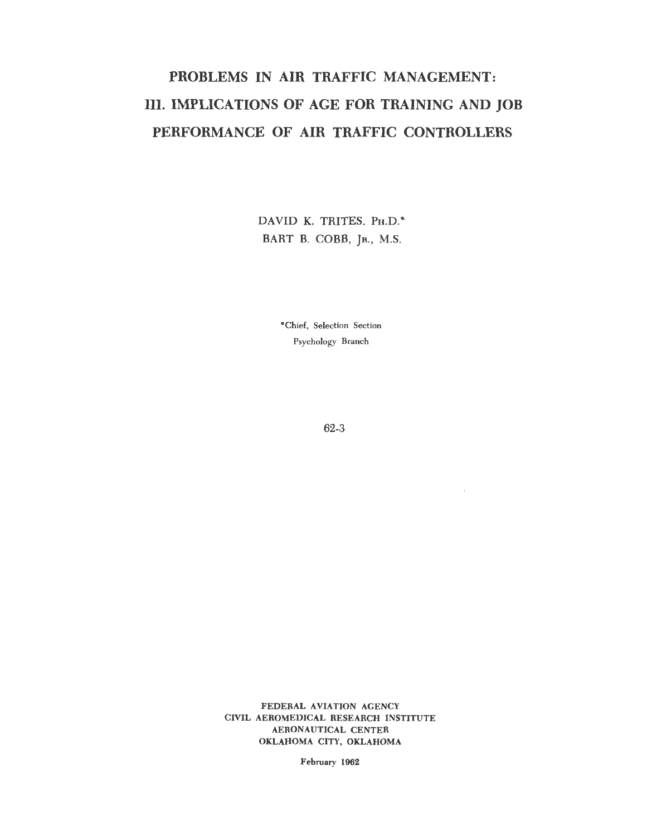# PROBLEMS IN AIR TRAFFIC MANAGEMENT: III. IMPLICATIONS OF AGE FOR TRAINING AND JOB PERFORMANCE OF AIR TRAFFIC CONTROLLERS

DAVID K. TRITES, PH.D.<sup>\*</sup> BART B. COBB, JR., M.S.

> •Chief, Selection Section Psychology Branch

> > 62-3

 $\epsilon$ 

FEDERAL AVIATION AGENCY CIVIL AEROMEDICAL RESEARCH INSTITUTE AERONAUTICAL CENTER OKLAHOMA CITY, OKLAHOMA

February 1962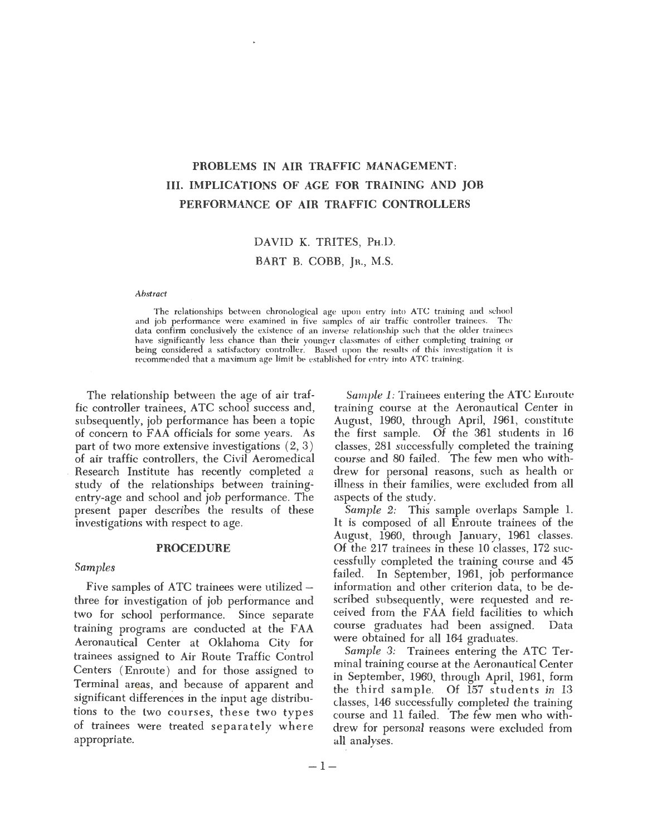## PROBLEMS IN AIR TRAFFIC MANAGEMENT: III. IMPLICATIONS OF AGE FOR TRAINING AND JOB PERFORMANCE OF AIR TRAFFIC CONTROLLERS

#### DAVID K. TRITES, PH.D.

#### BART B. COBB, JR., M.S.

#### *Abstract*

The relationships between chronological age upon entry into ATC training and school<br>iob performance were examined in five samples of air traffic controller trainess. The and job performance were examined in five samples of air traffic controller trainees. data confirm conclusively the existence of an inverse relationship such that the older trainees have significantly less chance than their younger classmates of either completing training or being considered a satisfactory controller. Based upon the results of this investigation it is recommended that a maximum age limit be established for entry into ATC training.

The relationship between the age of air traffic controller trainees, ATC school success and, subsequently, job performance has been a topic of concern to FAA officials for some years. As part of two more extensive investigations  $(2, 3)$ of air traffic controllers, the Civil Aeromedical Research Institute has recently completed a study of the relationships between trainingentry-age and school and job performance. The present paper describes the results of these investigations with respect to age.

#### PROCEDURE

#### *Samples*

Five samples of ATC trainees were utilized  $$ three for investigation of job performance and two for school performance. Since separate training programs are conducted at the FAA Aeronautical Center at Oklahoma City for trainees assigned to Air Route Traffic Control Centers ( Enroute) and for those assigned to Terminal areas, and because of apparent and significant differences in the input age distributions to the two courses, these two types of trainees were treated separately where appropriate.

*Sample 1:* Trainees entering the ATC Enroute training course at the Aeronautical Center in August, 1960, through April, 1961, constitute the first sample. Of the 361 students in 16 classes, 281 successfully completed the training course and 80 failed. The few men who withdrew for personal reasons, such as health or illness in their families, were excluded from all aspects of the study.

*Sample 2:* This sample overlaps Sample 1. It is composed of all Enroute trainees of the August, 1960, through January, 1961 classes. Of the 217 trainees in these 10 classes, 172 successfully completed the training course and 45 failed. In September, 1961, job performance information and other criterion data, to be described subsequently, were requested and received from the FAA field facilities to which course graduates had been assigned. Data were obtained for all 164 graduates.

*Sample 3:* Trainees entering the ATC Terminal training course at the Aeronautical Center in September, 1960, through April, 1961, form the third sample. Of 157 students in 13 classes, 146 successfully completed the training course and 11 failed. The few men who withdrew for personal reasons were excluded from all analyses.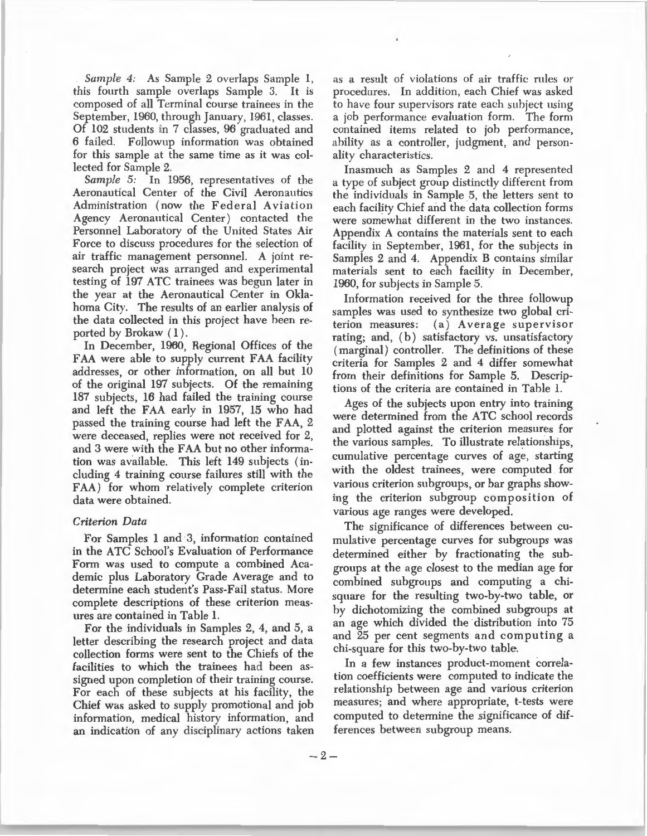*Sample 4:* As Sample 2 overlaps Sample 1, this fourth sample overlaps Sample 3. It is composed of all Terminal course trainees in the September, 1960, through January, 1961, classes. Of 102 students in 7 classes, 96 graduated and 6 failed. Followup information was obtained for this sample at the same time as it was collected for Sample 2.

Sample 5: In 1956, representatives of the Aeronautical Center of the Civil Aeronautics Administration (now the Federal Aviation Agency Aeronautical Center) contacted the Personnel Laboratory of the United States Air Force to discuss procedures for the selection of air traffic management personnel. A joint research project was arranged and experimental testing of 197 ATC trainees was begun later in the year at the Aeronautical Center in Oklahoma City. The results of an earlier analysis of the data collected in this project have been reported by Brokaw  $(1)$ .

In December, 1960, Regional Offices of the FAA were able to supply current FAA facility addresses, or other information, on all but 10 of the original 197 subjects. Of the remaining 187 subjects, 16 had failed the training course and left the FAA early in 1957, 15 who had passed the training course had left the FAA, 2 were deceased, replies were not received for 2, and 3 were with the FAA but no other information was available. This left 149 subjects (including 4 training course failures still with the FAA) for whom relatively complete criterion data were obtained.

#### *Criterion Data*

For Samples 1 and 3, information contained in the ATC School's Evaluation of Performance Form was used to compute a combined Academic plus Laboratory Grade Average and to determine each student's Pass-Fail status. More complete descriptions of these criterion measures are contained in Table 1.

For the individuals in Samples 2, 4, and 5, a letter describing the research project and data collection forms were sent to the Chiefs of the facilities to which the trainees had been assigned upon completion of their training course. For each of these subjects at his facility, the Chief was asked to supply promotional and job information, medical history information, and an indication of any disciplinary actions taken

as a result of violations of air traffic rules or procedures. In addition, each Chief was asked to have four supervisors rate each subject using a job performance evaluation form. The form contained items related to job performance, ability as a controller, judgment, and personality characteristics.

Inasmuch as Samples 2 and 4 represented a type of subject group distinctly different from the individuals in Sample 5, the letters sent to each facility Chief and the data collection forms were somewhat different in the two instances. Appendix A contains the materials sent to each facility in September, 1961, for the subjects in Samples 2 and 4. Appendix B contains similar materials sent to each facility in December, 1960, for subjects in Sample 5.

Information received for the three followup samples was used to synthesize two global criterion measures: (a) Average supervisor rating; and, (b) satisfactory vs. unsatisfactory (marginal) controller. The definitions of these criteria for Samples 2 and 4 differ somewhat from their definitions for Sample 5. Descriptions of the criteria are contained in Table 1.

Ages of the subjects upon entry into training were determined from the ATC school records and plotted against the criterion measures for the various samples. To illustrate relationships, cumulative percentage curves of age, starting with the oldest trainees, were computed for various criterion subgroups, or bar graphs showing the criterion subgroup composition of various age ranges were developed.

The significance of differences between cumulative percentage curves for subgroups was determined either by fractionating the subgroups at the age closest to the median age for combined subgroups and computing a chisquare for the resulting two-by-two table, or by dichotomizing the combined subgroups at an age which divided the distribution into 75 and 25 per cent segments and computing a chi-square for this two-by-two table.

In a few instances product-moment correlation coefficients were computed to indicate the relationship between age and various criterion measures; and where appropriate, t-tests were computed to determine the significance of differences between subgroup means.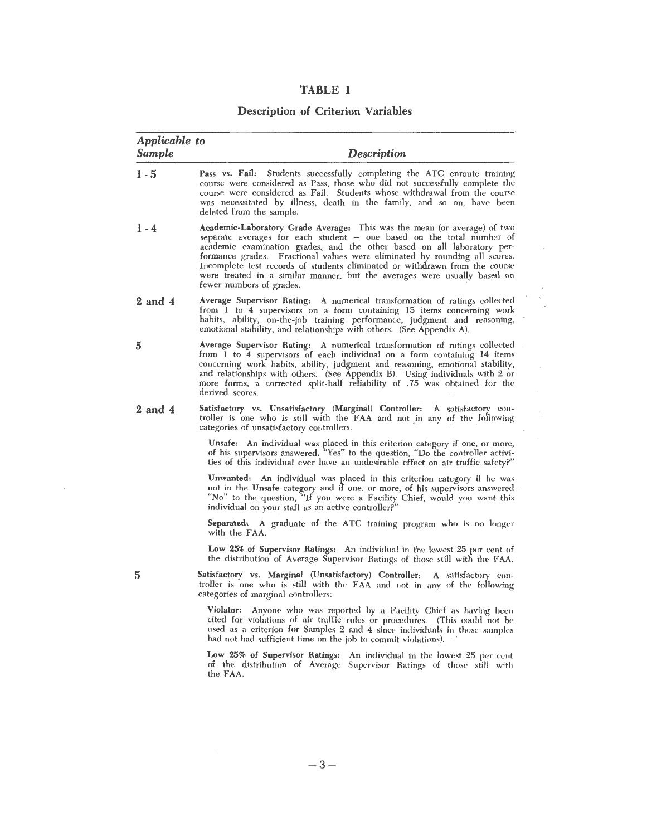| ı wr<br>$\mathbf{A}$<br><b>MA BH</b><br>۱<br>L |  |
|------------------------------------------------|--|
|------------------------------------------------|--|

### Description of Criterion Variables

| Applicable to<br>Sample | <b>Description</b>                                                                                                                                                                                                                                                                                                                                                                                                                                                                                |
|-------------------------|---------------------------------------------------------------------------------------------------------------------------------------------------------------------------------------------------------------------------------------------------------------------------------------------------------------------------------------------------------------------------------------------------------------------------------------------------------------------------------------------------|
| $1 - 5$                 | Students successfully completing the ATC enroute training<br>Pass vs. Fail:<br>course were considered as Pass, those who did not successfully complete the<br>course were considered as Fail. Students whose withdrawal from the course<br>was necessitated by illness, death in the family, and so on, have been<br>deleted from the sample.                                                                                                                                                     |
| $1 - 4$                 | Academic-Laboratory Grade Average: This was the mean (or average) of two<br>separate averages for each student - one based on the total number of<br>academic examination grades, and the other based on all laboratory per-<br>formance grades. Fractional values were eliminated by rounding all scores.<br>Incomplete test records of students eliminated or withdrawn from the course<br>were treated in a similar manner, but the averages were usually based on<br>fewer numbers of grades. |
| 2 and 4                 | Average Supervisor Rating: A numerical transformation of ratings collected<br>from 1 to 4 supervisors on a form containing 15 items concerning work<br>habits, ability, on-the-job training performance, judgment and reasoning,<br>emotional stability, and relationships with others. (See Appendix A).                                                                                                                                                                                         |
| 5                       | Average Supervisor Rating: A numerical transformation of ratings collected<br>from 1 to 4 supervisors of each individual on a form containing 14 items<br>concerning work habits, ability, judgment and reasoning, emotional stability,<br>and relationships with others. (See Appendix B). Using individuals with 2 or<br>more forms, a corrected split-half reliability of .75 was obtained for the<br>derived scores.                                                                          |
| $2$ and $4$             | Satisfactory vs. Unsatisfactory (Marginal) Controller: A satisfactory con-<br>troller is one who is still with the FAA and not in any of the following<br>categories of unsatisfactory controllers.                                                                                                                                                                                                                                                                                               |
|                         | Unsafe: An individual was placed in this criterion category if one, or more,<br>of his supervisors answered, "Yes" to the question, "Do the controller activi-<br>ties of this individual ever have an undesirable effect on air traffic safety?"                                                                                                                                                                                                                                                 |
|                         | Unwanted: An individual was placed in this criterion category if he was<br>not in the Unsafe category and if one, or more, of his supervisors answered<br>"No" to the question, "If you were a Facility Chief, would you want this<br>individual on your staff as an active controller?"                                                                                                                                                                                                          |
|                         | Separated: A graduate of the ATC training program who is no longer<br>with the FAA.                                                                                                                                                                                                                                                                                                                                                                                                               |
|                         | Low 25% of Supervisor Ratings: An individual in the lowest 25 per cent of<br>the distribution of Average Supervisor Ratings of those still with the FAA.                                                                                                                                                                                                                                                                                                                                          |
| 5                       | Satisfactory vs. Marginal (Unsatisfactory) Controller: A satisfactory con-<br>troller is one who is still with the FAA and not in any of the following<br>categories of marginal controllers:                                                                                                                                                                                                                                                                                                     |
|                         | Violator: Anyone who was reported by a Facility Chief as having been<br>cited for violations of air traffic rules or procedures. (This could not be<br>used as a criterion for Samples 2 and 4 since individuals in those samples<br>had not had sufficient time on the job to commit violations).                                                                                                                                                                                                |
|                         | Low 25% of Supervisor Ratings: An individual in the lowest 25 per cent<br>of the distribution of Average Supervisor Ratings of those still with<br>the FAA.                                                                                                                                                                                                                                                                                                                                       |

 $\epsilon$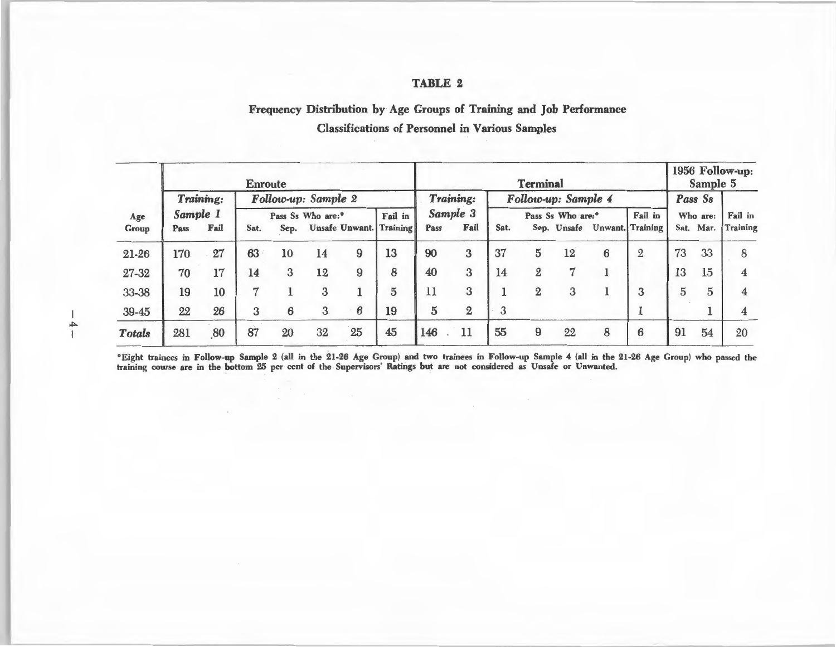#### TABLE 2

### Frequency Distribution by Age Groups of Training and Job Performance Classifications of Personnel in Various Samples

|               | <b>Enroute</b>        |      |                               |      |                     |          |                                | <b>Terminal</b>               |                |      |                |                     |                              |                | 1956 Follow-up:<br>Sample 5 |         |                 |
|---------------|-----------------------|------|-------------------------------|------|---------------------|----------|--------------------------------|-------------------------------|----------------|------|----------------|---------------------|------------------------------|----------------|-----------------------------|---------|-----------------|
|               | Training:<br>Sample 1 |      |                               |      | Follow-up: Sample 2 |          |                                |                               | Training:      |      |                | Follow-up: Sample 4 |                              |                |                             | Pass Ss |                 |
| Age           |                       |      | Pass Ss Who are: <sup>°</sup> |      | Fail in             | Sample 3 |                                | Pass Ss Who are: <sup>®</sup> |                |      |                | Fail in             | Who are:                     |                | Fail in                     |         |                 |
| Group         | Pass                  | Fail | Sat.                          | Sep. |                     |          | <b>Unsafe Unwant.</b> Training | Pass                          | Fail           | Sat. |                |                     | Sep. Unsafe Unwant. Training |                | Sat. Mar.                   |         | <b>Training</b> |
| 21-26         | 170                   | 27   | $63 -$                        | 10   | 14                  | 9        | 13                             | 90                            | 3              | 37   | 5              | 12                  | 6                            | $\overline{2}$ | 73                          | 33      | 8               |
| 27-32         | 70                    | 17   | 14                            | 3    | 12                  | 9        | 8                              | 40                            | 3              | 14   | 2              |                     |                              |                | 13                          | 15      |                 |
| 33-38         | 19                    | 10   | 7                             |      | 3                   |          | $\overline{5}$                 | 11                            | 3              |      | $\overline{2}$ | 3                   |                              | 3              | 5                           | 5       |                 |
| 39-45         | 22                    | 26   | 3                             | 6    | 3                   | 6        | 19                             | $\overline{5}$                | $\overline{2}$ | 3    |                |                     |                              |                |                             |         |                 |
| <b>Totals</b> | 281                   | 80   | 87                            | 20   | 32                  | 25       | 45                             | 146                           | 11             | 55   | 9              | 22                  | 8                            | 6              | 91                          | 54      | 20              |

0 Eight trainees in Follow-up Sample 2 (all in the 21-26 Age Group) and two trainees in Follow-up Sample 4 (all in the 21-26 Age Group) who passed the training course are in the bottom 25 per cent of the Supervisors' Ratings but are not considered as Unsafe or Unwanted.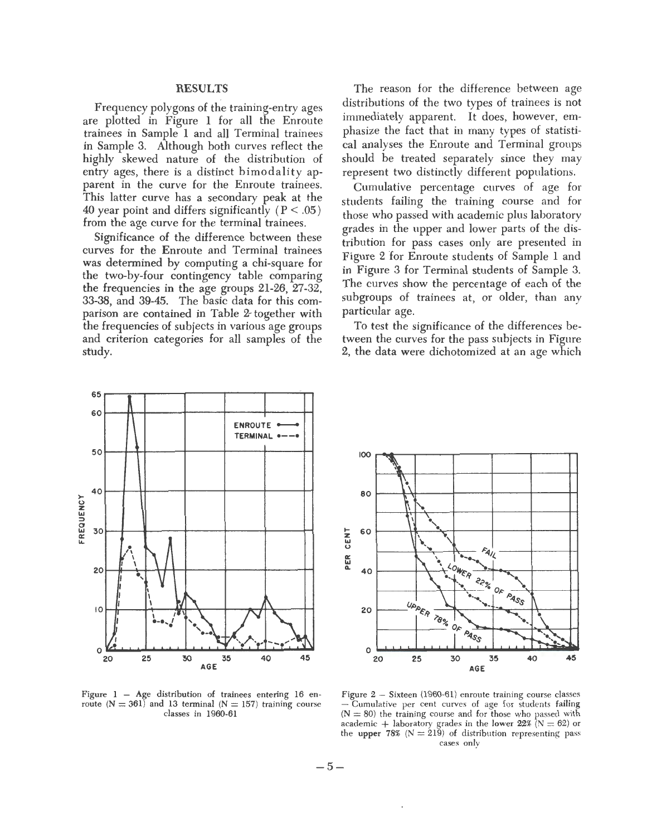### RESULTS

Frequency polygons of the training-entry ages are plotted in Figure 1 for all the Enroute trainees in Sample 1 and all Terminal trainees in Sample 3. Although both curves reflect the highly skewed nature of the distribution of entry ages, there is a distinct bimodality apparent in the curve for the Enroute trainees. This latter curve has a secondary peak at the 40 year point and differs significantly ( $P < .05$ ) from the age curve for the terminal trainees.

Significance of the difference between these curves for the Enroute and Terminal trainees was determined by computing a chi-square for the two-by-four contingency table comparing the frequencies in the age groups 21-26, 27-32, 33-38, and 39-45. The basic data for this comparison are contained in Table 2- together with the frequencies of subjects in various age groups and criterion categories for all samples of the study.

The reason for the difference between age distributions of the two types of trainees is not immediately apparent. It does, however, emphasize the fact that in many types of statistical analyses the Enroute and Terminal groups should be treated separately since they may represent two distinctly different populations.

Cumulative percentage curves of age for students failing the training course and for those who passed with academic plus laboratory grades in the upper and lower parts of the distribution for pass cases only are presented in Figure 2 for Enroute students of Sample 1 and in Figure 3 for Terminal students of Sample 3. The curves show the percentage of each of the subgroups of trainees at, or older, than any particular age.

To test the significance of the differences between the curves for the pass subjects in Figure 2, the data were dichotomized at an age which





Figure  $1 - Age$  distribution of trainees entering 16 enroute  $(N = 361)$  and 13 terminal  $(N = 157)$  training course classes in 1960-61

Figure 2 - Sixteen (1960-61) enroute training course classes Cumulative per cent curves of age for students failing  $(N = 80)$  the training course and for those who passed with  $\frac{1}{4}$  academic + laboratory grades in the lower 22% (N = 62) or the upper 78% ( $N = 219$ ) of distribution representing pass cases only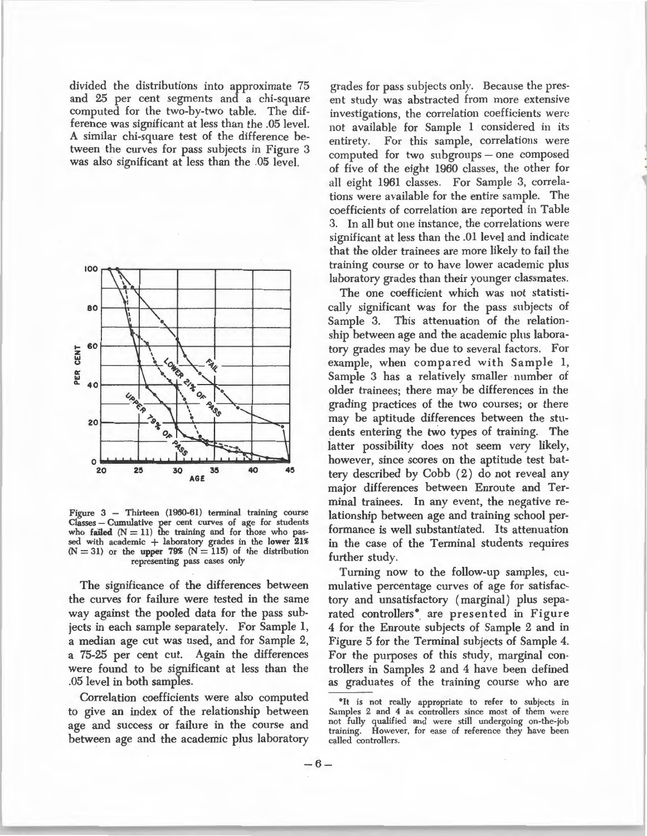divided the distributions into approximate 75 and 25 per cent segments and a chi-square computed for the two-by-two table. The difference was significant at less than the .05 level. A similar chi-square test of the difference between the curves for pass subjects in Figure 3 was also significant at less than the .05 level.



Figure 3 - Thirteen (1960-61) terminal training course Classes - Cumulative per cent curves of age for students who failed  $(N = 11)$  the training and for those who passed with academic + laboratory grades in the lower 21%  $(N = 31)$  or the upper 79%  $(N = 115)$  of the distribution representing pass cases only

The significance of the differences between the curves for failure were tested in the same way against the pooled data for the pass subjects in each sample separately. For Sample 1, a median age cut was used, and for Sample 2, a 75-25 per cent cut. Again the differences were found to be significant at less than the .05 level in both samples.

Correlation coefficients were also computed to give an index of the relationship between age and success or failure in the course and between age and the academic plus laboratory

grades for pass subjects only. Because the present study was abstracted from more extensive investigations, the correlation coefficients were not available for Sample 1 considered in its entirety. For this sample, correlations were computed for two subgroups – one composed of five of the eight 1960 classes, the other for all eight 1961 classes. For Sample 3, correlations were available for the entire sample. The coefficients of correlation are reported in Table .3. In all but one instance, the correlations were significant at less than the .01 level and indicate that the older trainees are more likely to fail the training course or to have lower academic plus laboratory grades than their younger classmates.

The one coefficient which was not statistically significant was for the pass subjects of Sample 3. This attenuation of the relationship between age and the academic plus laboratory grades may be due to several factors. For example, when compared with Sample 1, Sample 3 has a relatively smaller number of older trainees; there may be differences in the grading practices of the two courses; or there may be aptitude differences between the students entering the two types of training. The latter possibility does not seem very likely, however, since scores on the aptitude test battery described by Cobb (2) do not reveal any major differences between Enroute and Terminal trainees. In any event, the negative relationship between age and training school performance is well substantiated. Its attenuation in the case of the Terminal students requires further study.

Turning now to the follow-up samples, cumulative percentage curves of age for satisfactory and unsatisfactory (marginal) plus separated controllers<sup>®</sup> are presented in Figure 4 for the Enroute subjects of Sample 2 and in Figure 5 for the Terminal subjects of Sample 4. For the purposes of this study, marginal controllers in Samples 2 and 4 have been defined as graduates of the training course who are

<sup>&</sup>lt;sup>o</sup>It is not really appropriate to refer to subjects in Samples 2 and 4 as controllers since most of them were not fully qualified and were still undergoing on-the-job training. However, for ease of reference they have been called controllers.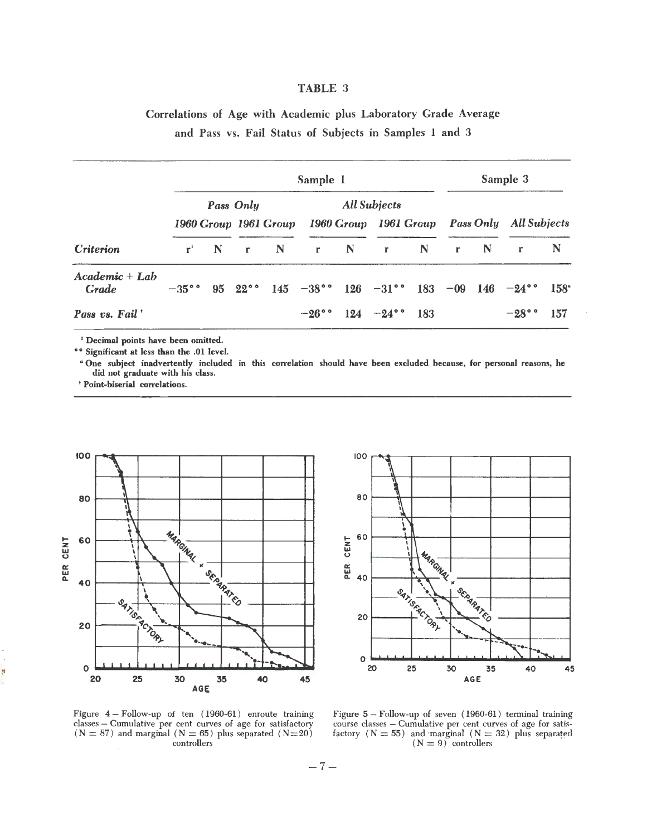#### TABLE 3

### Correlations of Age with Academic plus Laboratory Grade Average and Pass vs. Fail Status of Subjects in Samples 1 and 3

|                           |             |             |  | Sample 3            |  |                             |  |  |         |                                                                                                            |             |
|---------------------------|-------------|-------------|--|---------------------|--|-----------------------------|--|--|---------|------------------------------------------------------------------------------------------------------------|-------------|
|                           |             | Pass Only   |  | <b>All Subjects</b> |  |                             |  |  |         |                                                                                                            |             |
|                           |             |             |  |                     |  |                             |  |  |         | 1960 Group 1961 Group 1960 Group 1961 Group Pass Only All Subjects                                         |             |
| <b>Criterion</b>          | ${\bf r}^1$ | $\mathbf N$ |  | $r \tN$             |  | r N r N                     |  |  | $r \tN$ | $\mathbf{r}$                                                                                               | $\mathbb N$ |
| $Academic + Lab$<br>Grade | $-35$ °°    |             |  |                     |  |                             |  |  |         | 95 22 <sup>°</sup> 145 -38 <sup>°</sup> 126 -31 <sup>°</sup> 183 -09 146 -24 <sup>°</sup> 158 <sup>°</sup> |             |
| Pass vs. Fail             |             |             |  |                     |  | $-26$ ° $124$ $-24$ ° $183$ |  |  |         | $-28$ °°                                                                                                   | 157         |

<sup>1</sup> Decimal points have been omitted.

<sup>o</sup><sup>o</sup> Significant at less than the .01 level.

• One subject inadvertently included in this correlation should have been excluded because, for personal reasons, he did not graduate with his class.

' Point-biserial correlations.





Figure 4- Follow-up of ten ( 1960-61) enroute training classes - Cumulative per cent curves of age for satisfactory  $(N = 87)$  and marginal  $(N = 65)$  plus separated  $(N = 20)$ controllers

Figure 5- Follow-up of seven ( 1960-61) terminal training course classes - Cumulative per cent curves of age for satisfactory ( $N = 55$ ) and marginal ( $N = 32$ ) plus separated  $(N = 9)$  controllers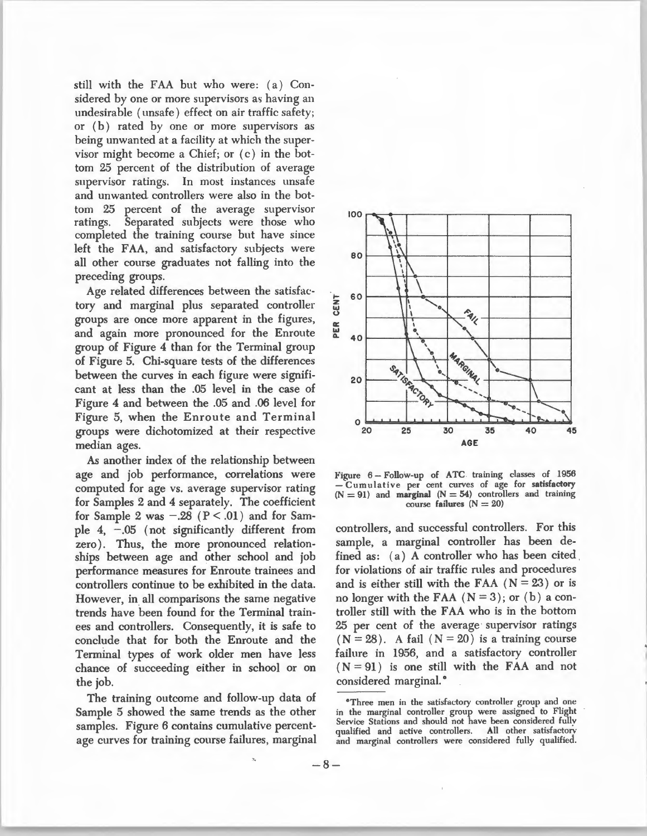still with the FAA but who were: (a) Considered by one or more supervisors as having an undesirable (unsafe) effect on air traffic safety; or (b) rated by one or more supervisors as being unwanted at a facility at which the supervisor might become a Chief; or (c) in the bottom 25 percent of the distribution of average supervisor ratings. In most instances unsafe and unwanted controllers were also in the bottom 25 percent of the average supervisor ratings. Separated subjects were those who completed the training course but have since left the FAA, and satisfactory subjects were all other course graduates not falling into the preceding groups.

Age related differences between the satisfactory and marginal plus separated controller groups are once more apparent in the figures, and again more pronounced for the Enroute group of Figure 4 than for the Terminal group of Figure 5. Chi-square tests of the differences between the curves in each figure were significant at less than the .05 level in the case of Figure 4 and between the .05 and .06 level for Figure 5, when the Enroute and Terminal groups were dichotomized at their respective median ages.

As another index of the relationship between age and job performance, correlations were computed for age vs. average supervisor rating for Samples 2 and 4 separately. The coefficient for Sample 2 was  $-.28$  ( $P < .01$ ) and for Sample  $4, -0.05$  (not significantly different from zero). Thus, the more pronounced relationships between age and other school and job performance measures for Enroute trainees and controllers continue to be exhibited in the data. However, in all comparisons the same negative trends have been found for the Terminal trainees and controllers. Consequently, it is safe to conclude that for both the Enroute and the Terminal types of work older men have less chance of succeeding either in school or on the job.

The training outcome and follow-up data of Sample 5 showed the same trends as the other samples. Figure 6 contains cumulative percentage curves for training course failures, marginal



Figure 6- Follow-up of ATC training classes of 1956 - Cumulative per cent curves of age for satisfactory  $(N = 91)$  and marginal  $(N = 54)$  controllers and training course failures  $(N = 20)$ 

controllers, and successful controllers. For this sample, a marginal controller has been defined as: (a) A controller who has been cited for violations of air traffic rules and procedures and is either still with the FAA  $(N = 23)$  or is no longer with the FAA  $(N=3)$ ; or  $(b)$  a controller still with the FAA who is in the bottom 25 per cent of the average supervisor ratings  $(N = 28)$ . A fail  $(N = 20)$  is a training course failure in 1956, and a satisfactory controller  $(N = 91)$  is one still with the FAA and not considered marginal.<sup>•</sup>

<sup>0</sup> Three men in the satisfactory controller group and one in the marginal controller group were assigned to Flight Service Stations and should not have been considered fullv qualified and active controllers. All other satisfactory and marginal controllers were considered fully qualified.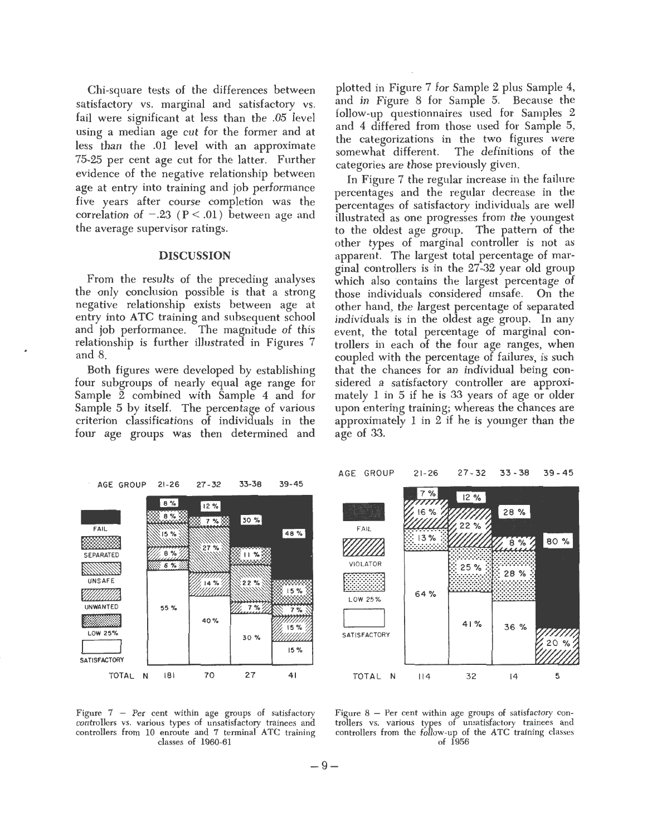Chi-square tests of the differences between satisfactory vs. marginal and satisfactory vs. fail were significant at less than the .05 level using a median age cut for the former and at less than the .01 level with an approximate 75-25 per cent age cut for the latter. Further evidence of the negative relationship between age at entry into training and job performance five years after course completion was the correlation of  $-.23$  ( $P < .01$ ) between age and the average supervisor ratings.

#### DISCUSSION

From the results of the preceding analyses the only conclusion possible is that a strong negative relationship exists between age at entry into ATC training and subsequent school and job performance. The magnitude of this relationship is further illustrated in Figures 7 and 8.

Both figures were developed by establishing four subgroups of nearly equal age range for Sample 2 combined with Sample 4 and for Sample 5 by itself. The percentage of various criterion classifications of individuals in the four age groups was then determined and

plotted in Figure 7 for Sample 2 plus Sample 4, and in Figure 8 for Sample 5. Because the follow-up questionnaires used for Samples 2 and 4 differed from those used for Sample 5, the categorizations in the two figures were somewhat different. The definitions of the categories are those previously given.

In Figure 7 the regular increase in the failure percentages and the regular decrease in the percentages of satisfactory individuals are well illustrated as one progresses from the youngest to the oldest age group. The pattern of the other types of marginal controller is not as apparent. The largest total percentage of marginal controllers is in the 27-32 year old group which also contains the largest percentage of those individuals considered unsafe. On the other hand, the largest percentage of separated individuals is in the oldest age group. In any event, the total percentage of marginal controllers in each of the four age ranges, when coupled with the percentage of failures, is such that the chances for an individual being considered a satisfactory controller are approximately 1 in 5 if he is 33 years of age or older upon entering training; whereas the chances are approximately 1 in 2 if he is younger than the age of 33.







Figure 8 - Per cent within age groups of satisfactory controllers vs. various types of unsatisfactory trainees and controllers from the follow-up of the ATC training classes of 1956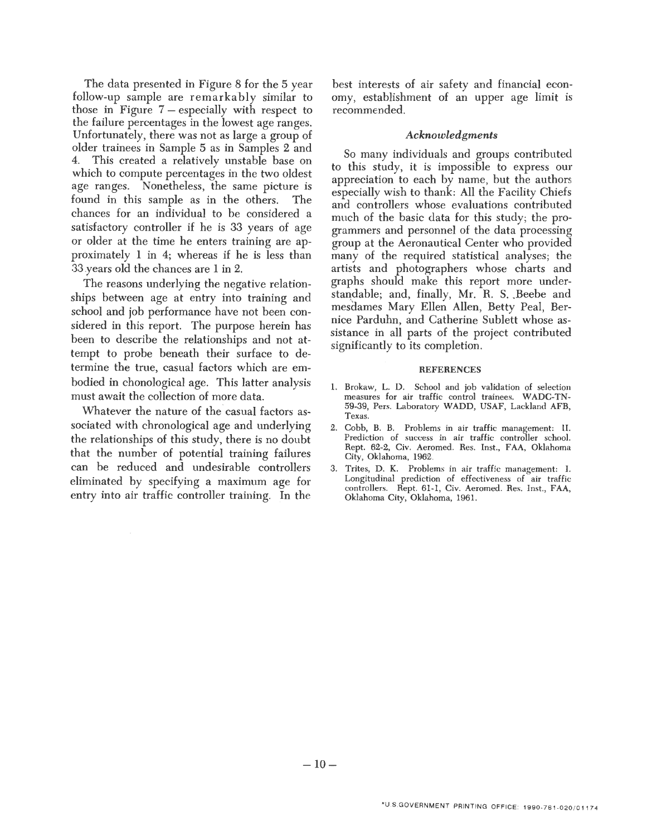The data presented in Figure 8 for the 5 year follow-up sample are remarkably similar to those in Figure  $7$  – especially with respect to the failure percentages in the lowest age ranges. Unfortunately, there was not as large a group of older trainees in Sample 5 as in Samples 2 and 4. This created a relatively unstable base on which to compute percentages in the two oldest age ranges. Nonetheless, the same picture is found in this sample as in the others. The chances for an individual to be considered a satisfactory controller if he is 33 years of age or older at the time he enters training are approximately 1 in 4; whereas if he is less than 33 y ears old the chances are 1 in 2.

The reasons underlying the negative relationships between age at entry into training and school and job performance have not been considered in this report. The purpose herein has been to describe the relationships and not attempt to probe beneath their surface to determine the true, casual factors which are embodied in chonological age. This latter analysis must await the collection of more data.

Whatever the nature of the casual factors associated with chronological age and underlying the relationships of this study, there is no doubt that the number of potential training failures can be reduced and undesirable controllers eliminated by specifying a maximum age for entry into air traffic controller training. In the best interests of air safety and financial economy, establishment of an upper age limit is recommended.

#### *Acknowledgments*

So many individuals and groups contributed to this study, it is impossible to express our appreciation to each by name, but the authors especially wish to thank: All the Facility Chiefs and controllers whose evaluations contributed much of the basic data for this study; the programmers and personnel of the data processing group at the Aeronautical Center who provided many of the required statistical analyses; the artists and photographers whose charts and graphs should make this report more understandable; and, finally, Mr. R. S. Beebe and mesdames Mary Ellen Allen, Betty Peal, Bernice Parduhn, and Catherine Sublett whose assistance in all parts of the project contributed significantly to its completion.

#### **REFERENCES**

- 1. Brokaw, L. D. School and job validation of selection measures for air traffic control trainees. W ADC-TN-59-39, Pers. Laboratory WADD, USAF, Lackland AFB, Texas.
- 2. Cobb, B. B. Problems in air traffic management: II. Prediction of success in air traffic controller school. Rept. 62-2, Civ. Aeromed. Res. Inst., FAA, Oklahoma City, Oklahoma, 1962.
- 3. Trites, D. K. Problems in air traffic management: I. Longitudinal prediction of effectiveness of air traffic controllers. Rept. 61-1, Civ. Aeromed. Res. Inst., FAA, Oklahoma City, Oklahoma, 1961.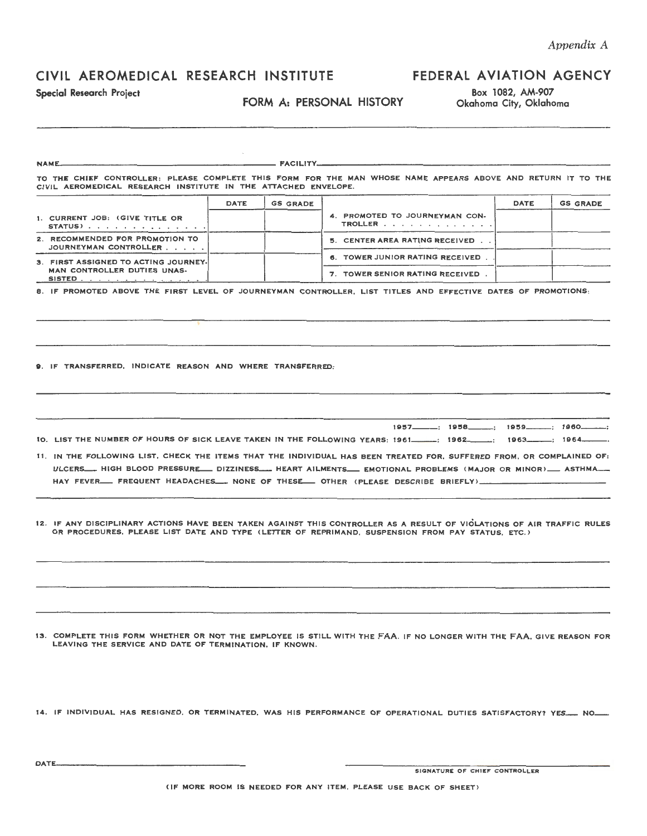## CIVIL AEROMEDICAL RESEARCH INSTITUTE

### FORM A: PERSONAL HISTORY

## FEDERAL AVIATION AGENCY

Special Research Project<br>FORM A: PERSONAL HISTORY Box 1082, AM-907<br>District Box 1082, AM-907

| <b>NAME.</b>                                                                                                   |             |                 |                                                                                                                                                                                                                                                                                                                                                                                                                                                                                                                                                                                                                                                                            |             |                 |
|----------------------------------------------------------------------------------------------------------------|-------------|-----------------|----------------------------------------------------------------------------------------------------------------------------------------------------------------------------------------------------------------------------------------------------------------------------------------------------------------------------------------------------------------------------------------------------------------------------------------------------------------------------------------------------------------------------------------------------------------------------------------------------------------------------------------------------------------------------|-------------|-----------------|
| CIVIL AEROMEDICAL RESEARCH INSTITUTE IN THE ATTACHED ENVELOPE.                                                 |             |                 | TO THE CHIEF CONTROLLER: PLEASE COMPLETE THIS FORM FOR THE MAN WHOSE NAME APPEARS ABOVE AND RETURN IT TO THE                                                                                                                                                                                                                                                                                                                                                                                                                                                                                                                                                               |             |                 |
|                                                                                                                | <b>DATE</b> | <b>GS GRADE</b> |                                                                                                                                                                                                                                                                                                                                                                                                                                                                                                                                                                                                                                                                            | <b>DATE</b> | <b>GS GRADE</b> |
| 1. CURRENT JOB: (GIVE TITLE OR<br>STATUS)                                                                      |             |                 | 4. PROMOTED TO JOURNEYMAN CON-<br>TROLLER                                                                                                                                                                                                                                                                                                                                                                                                                                                                                                                                                                                                                                  |             |                 |
| 2. RECOMMENDED FOR PROMOTION TO<br>JOURNEYMAN CONTROLLER                                                       |             |                 | 5. CENTER AREA RATING RECEIVED                                                                                                                                                                                                                                                                                                                                                                                                                                                                                                                                                                                                                                             |             |                 |
| 3. FIRST ASSIGNED TO ACTING JOURNEY.<br>MAN CONTROLLER DUTIES UNAS-                                            |             |                 | 6. TOWER JUNIOR RATING RECEIVED.<br>7. TOWER SENIOR RATING RECEIVED.                                                                                                                                                                                                                                                                                                                                                                                                                                                                                                                                                                                                       |             |                 |
| SISTED <u>.</u> .                                                                                              |             |                 | 8. IF PROMOTED ABOVE THE FIRST LEVEL OF JOURNEYMAN CONTROLLER, LIST TITLES AND EFFECTIVE DATES OF PROMOTIONS:                                                                                                                                                                                                                                                                                                                                                                                                                                                                                                                                                              |             |                 |
| 9. IF TRANSFERRED, INDICATE REASON AND WHERE TRANSFERRED:                                                      |             |                 |                                                                                                                                                                                                                                                                                                                                                                                                                                                                                                                                                                                                                                                                            |             |                 |
|                                                                                                                |             |                 | 1964. [197] IO. LIST THE NUMBER OF HOURS OF SICK LEAVE TAKEN IN THE FOLLOWING YEARS: 1961. [1962.]]<br>11. IN THE FOLLOWING LIST, CHECK THE ITEMS THAT THE INDIVIDUAL HAS BEEN TREATED FOR, SUFFERED FROM, OR COMPLAINED OF:<br>ULCERS___ HIGH BLOOD PRESSURE___ DIZZINESS____ HEART AILMENTS___ EMOTIONAL PROBLEMS (MAJOR OR MINOR)___ ASTHMA___<br>HAY FEVER___ FREQUENT HEADACHES___ NONE OF THESE___ OTHER (PLEASE DESCRIBE BRIEFLY)____<br>12. IF ANY DISCIPLINARY ACTIONS HAVE BEEN TAKEN AGAINST THIS CONTROLLER AS A RESULT OF VIOLATIONS OF AIR TRAFFIC RULES<br>OR PROCEDURES, PLEASE LIST DATE AND TYPE (LETTER OF REPRIMAND, SUSPENSION FROM PAY STATUS, ETC.) |             |                 |
|                                                                                                                |             |                 |                                                                                                                                                                                                                                                                                                                                                                                                                                                                                                                                                                                                                                                                            |             |                 |
| LEAVING THE SERVICE AND DATE OF TERMINATION. IF KNOWN.                                                         |             |                 | 13. COMPLETE THIS FORM WHETHER OR NOT THE EMPLOYEE IS STILL WITH THE FAA. IF NO LONGER WITH THE FAA, GIVE REASON FOR                                                                                                                                                                                                                                                                                                                                                                                                                                                                                                                                                       |             |                 |
| 14. IF INDIVIDUAL HAS RESIGNED, OR TERMINATED, WAS HIS PERFORMANCE OF OPERATIONAL DUTIES SATISFACTORY? YES NO. |             |                 |                                                                                                                                                                                                                                                                                                                                                                                                                                                                                                                                                                                                                                                                            |             |                 |

DATE SIGNATURE OF CHIEF CONTROLLER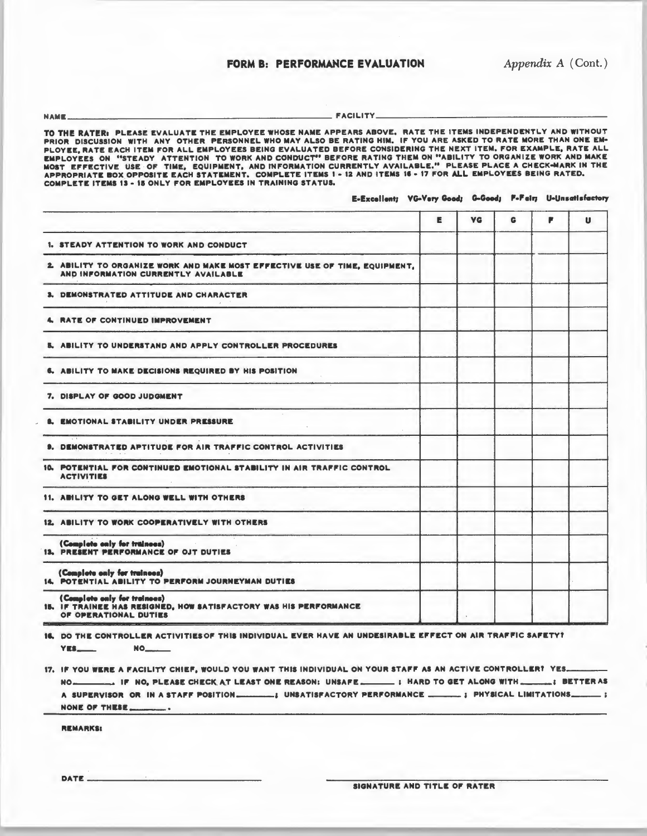### FORM B: PERFORMANCE EVALUATION *Appendix A* (Cont.)

NAME--------------------------------------------------FACILITY--------------------------------------------

TO THE RATER: PLEASE EVALUATE THE EMPLOYEE WHOSE NAME APPEARS ABOVE. RATE THE ITEMS INDEPENDENTLY AND WITHOUT<br>Prior Discussion With ANY Other Personnel who may also be rating him. If you are asked to rate more than PLOYEE, RATE EACH ITEM FOR ALL EMPLOYEES BEING EVALUATED BEFORE CONSIDERING THE NEXT ITEM. FOR EXAMPLE, RATE ALL EMPLOYEES ON "STEADY ATTENTION TO WORK AND CONDUCT" BEFORE RATING THEM ON "ABILITY TO ORGANIZE WORK AND MAKE<br>Most Effective USE of Time, Equipment, and information currently available." Please place a check-mark in the<br>App COMPLETE ITEMS 13 - 15 ONLY FOR EMPLOYEES IN TRAINING STATUS.

#### E-Excellent; VG-Very Good; G-Good; F-Feir; U-Unsatisfactory

|                                                                                                                            | Е | <b>VG</b> | G | F | U |
|----------------------------------------------------------------------------------------------------------------------------|---|-----------|---|---|---|
| 1. STEADY ATTENTION TO WORK AND CONDUCT                                                                                    |   |           |   |   |   |
| 2. ABILITY TO ORGANIZE WORK AND MAKE MOST EFFECTIVE USE OF TIME, EQUIPMENT,<br>AND INFORMATION CURRENTLY AVAILABLE         |   |           |   |   |   |
| 3. DEMONSTRATED ATTITUDE AND CHARACTER                                                                                     |   |           |   |   |   |
| RATE OF CONTINUED IMPROVEMENT                                                                                              |   |           |   |   |   |
| 5. ABILITY TO UNDERSTAND AND APPLY CONTROLLER PROCEDURES                                                                   |   |           |   |   |   |
| 6. ABILITY TO MAKE DECISIONS REQUIRED BY HIS POSITION                                                                      |   |           |   |   |   |
| 7. DISPLAY OF GOOD JUDGMENT                                                                                                |   |           |   |   |   |
| <b>EMOTIONAL STABILITY UNDER PRESSURE</b>                                                                                  |   |           |   |   |   |
| $-1$<br><b>9. DEMONSTRATED APTITUDE FOR AIR TRAFFIC CONTROL ACTIVITIES</b>                                                 |   |           |   |   |   |
| 10. POTENTIAL FOR CONTINUED EMOTIONAL STABILITY IN AIR TRAFFIC CONTROL<br><b>ACTIVITIES</b>                                |   |           |   |   |   |
| 11. ABILITY TO GET ALONG WELL WITH OTHERS                                                                                  |   |           |   |   |   |
| 12. ABILITY TO WORK COOPERATIVELY WITH OTHERS                                                                              |   |           |   |   |   |
| (Complete only for trainees)<br>and the con-<br>13. PRESENT PERFORMANCE OF OJT DUTIES                                      |   |           |   |   |   |
| (Complete only for trainees)<br>14. POTENTIAL ABILITY TO PERFORM JOURNEYMAN DUTIES                                         |   |           |   |   |   |
| (Complete only for trainoes)<br>15. IF TRAINEE HAS RESIGNED, HOW SATISFACTORY WAS HIS PERFORMANCE<br>OF OPERATIONAL DUTIES |   |           |   |   |   |

16. DO THE CONTROLLER ACTIVITIES OF THIS INDIVIDUAL EVER HAVE AN UNDESIRABLE EFFECT ON AIR TRAFFIC SAFETY? YES--- NO \_\_ \_\_

17. IF YOU WERE A FACILITY CHIEF, WOULD YOU WANT THIS INDIVIDUAL ON YOUR STAFF AS AN ACTIVE CONTROLLER? YES. NO---- II' NO, PLEASE CHECit A.T LEAST ONE "EASON: UNSAI"E --- 1 HARD TO GET ALONG WITH---~ BETTER AS A SUPE .. VISO" 0" IN A STAI"I" POSITION----I UNSATISI"ACTORY PERI"ORMANCE ----1 PHYSICAL LIMITATIONS--- <sup>1</sup> NONE OF THESE. - •

REMARKS:

 $DATE-$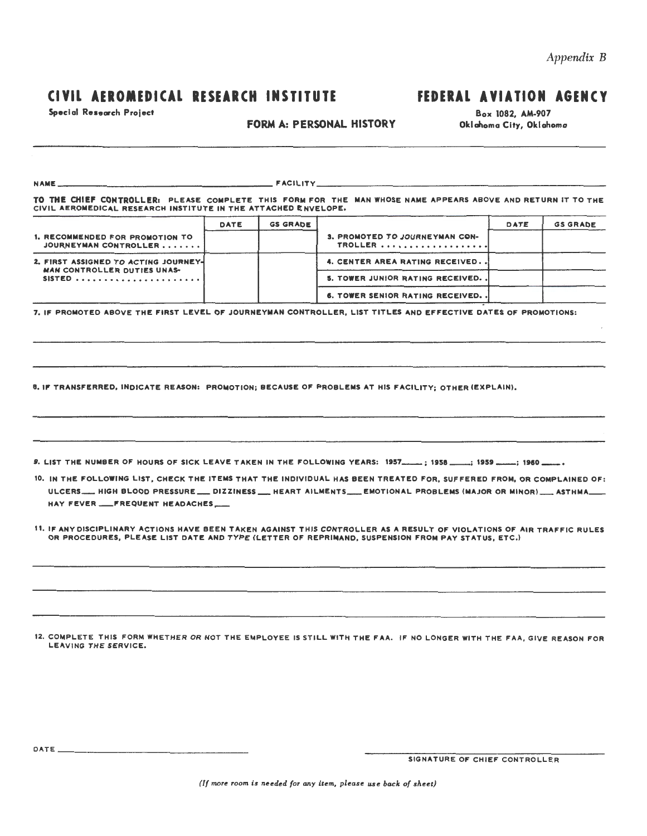### CIVIL AEROMEDICAL RESEARCH INSTITUTE FEDERAL AVIATION AGENCY

Special Research Project

### FORM A: PERSONAL HISTORY

Box 1082, AM-907 Oklahoma City, Oklahoma

NAME \_\_ ........................................................................ ---~ACILITY \_\_ .................................................................................................... \_\_\_

TO THE CHIEF CONTROLLERs PLEASE COMPLETE THIS FORM FOR THE MAN WHOSE NAME APPEARS ABOVE AND RETURN IT TO THE CIVIL AEROMEDICAL RESEARCH INSTITUTE IN THE ATTACHED ENVELOPE,

|                                                          | DATE | <b>GS GRADE</b> |                                                  | DATE | <b>GS GRADE</b> |
|----------------------------------------------------------|------|-----------------|--------------------------------------------------|------|-----------------|
| 1. RECOMMENDED FOR PROMOTION TO<br>JOURNEYMAN CONTROLLER |      |                 | <b>3. PROMOTED TO JOURNEYMAN CON-</b><br>TROLLER |      |                 |
| 2. FIRST ASSIGNED TO ACTING JOURNEY-                     |      |                 | 4. CENTER AREA RATING RECEIVED                   |      |                 |
| <b>MAN CONTROLLER DUTIES UNAS-</b><br>SISTED             |      |                 | 5. TOWER JUNIOR RATING RECEIVED. .               |      |                 |
|                                                          |      |                 | <b>6. TOWER SENIOR RATING RECEIVED. .</b>        |      |                 |

7. IF PROMOTED ABOVE THE FIRST LEVEL OF JOURNEYMAN CONTROLLER, LIST TITLES AND EFFECTIVE DATES OF PROMOTIONS:

8. IF TRANSFERRED, INDICATE REASON: PROMOTION; BECAUSE OF PROBLEMS AT HIS FACILITY; OTHER (EXPLAIN).

9. LIST THE NUMBER OF HOURS OF SICK LEAVE TAKEN IN THE FOLLOWING YEARS: 1957 \_\_\_\_\_; 1958 \_\_\_\_; 1959 \_\_\_\_\_; 1960

10. IN THE FOLLOWING LIST, CHECK THE ITEMS THAT THE INDIVIDUAL HAS BEEN TREATED FOR, SUFFERED FROM, OR COMPLAINED OF: ULCERS\_\_\_ HIGH BLOOD PRESSURE \_\_ DIZZINESS \_\_ HEART AILMENTS\_\_\_ EMOTIONAL PROBLEMS (MAJOR OR MINOR) \_\_\_ ASTHMA\_ HAY FEVER \_\_ FREQUENT HEADACHES \_\_

11. IF ANY DISCIPLINARY ACTIONS HAVE BEEN TAKEN AGAINST THIS CONTROLLER AS A RESULT OF VIOLATIONS OF AIR TRAFFIC RULES OR PROCEDURES, PLEASE LIST DATE AND TYPE (LETTER OF REPRIMAND, SUSPENSION FROM PAY STATUS, ETC.)

12. COMPLETE THIS FORM WHETHER OR NOT THE EMPLOYEE IS STILL WITH THE FAA. IF NO LONGER WITH THE FAA, GIVE REASON FOR LEAVING THE SERVICE,

SIGNATURE OF CHIEF CONTROLLER